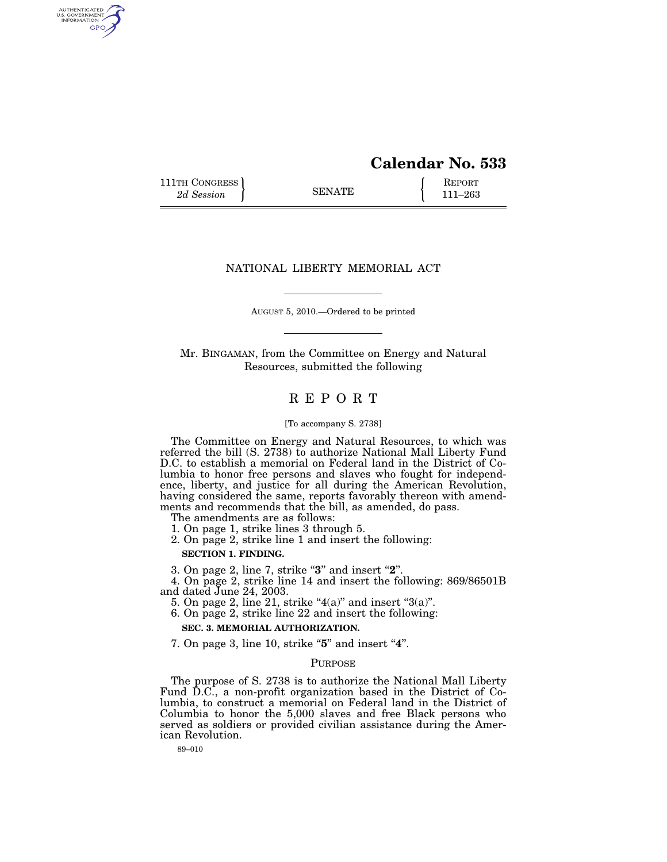# **Calendar No. 533**

111TH CONGRESS **REPORT** 2d Session **111 EXECUTE 111–263** 

AUTHENTICATED<br>U.S. GOVERNMENT<br>INFORMATION GPO

## NATIONAL LIBERTY MEMORIAL ACT

AUGUST 5, 2010.—Ordered to be printed

Mr. BINGAMAN, from the Committee on Energy and Natural Resources, submitted the following

## R E P O R T

#### [To accompany S. 2738]

The Committee on Energy and Natural Resources, to which was referred the bill (S. 2738) to authorize National Mall Liberty Fund D.C. to establish a memorial on Federal land in the District of Columbia to honor free persons and slaves who fought for independence, liberty, and justice for all during the American Revolution, having considered the same, reports favorably thereon with amendments and recommends that the bill, as amended, do pass.

The amendments are as follows:

1. On page 1, strike lines 3 through 5.

2. On page 2, strike line 1 and insert the following:

**SECTION 1. FINDING.** 

3. On page 2, line 7, strike ''**3**'' and insert ''**2**''.

4. On page 2, strike line 14 and insert the following: 869/86501B and dated June 24, 2003.

- 5. On page 2, line 21, strike " $4(a)$ " and insert " $3(a)$ ".
- 6. On page 2, strike line 22 and insert the following:

**SEC. 3. MEMORIAL AUTHORIZATION.** 

7. On page 3, line 10, strike "5" and insert "4".

## PURPOSE

The purpose of S. 2738 is to authorize the National Mall Liberty Fund D.C., a non-profit organization based in the District of Columbia, to construct a memorial on Federal land in the District of Columbia to honor the 5,000 slaves and free Black persons who served as soldiers or provided civilian assistance during the American Revolution.

89–010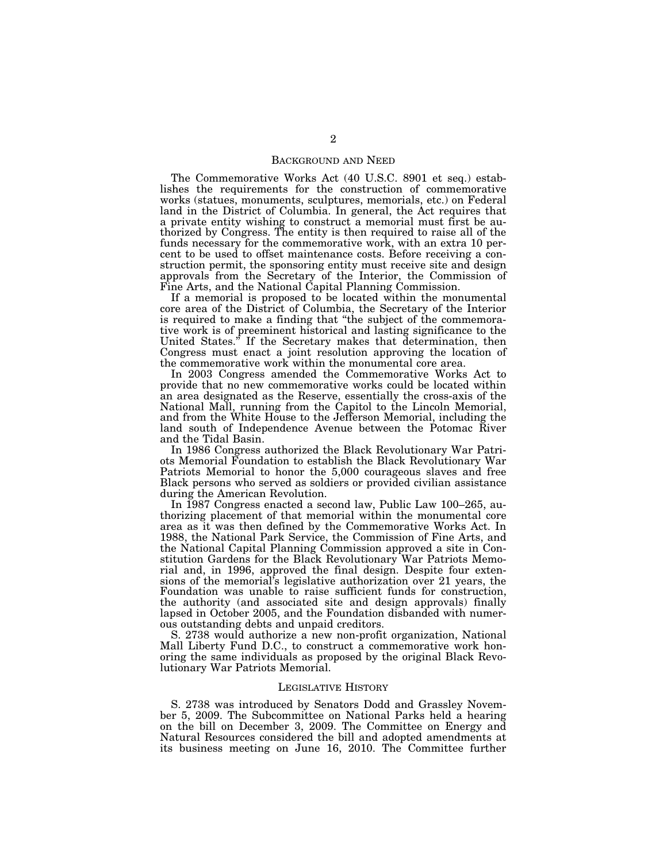#### BACKGROUND AND NEED

The Commemorative Works Act (40 U.S.C. 8901 et seq.) establishes the requirements for the construction of commemorative works (statues, monuments, sculptures, memorials, etc.) on Federal land in the District of Columbia. In general, the Act requires that a private entity wishing to construct a memorial must first be authorized by Congress. The entity is then required to raise all of the funds necessary for the commemorative work, with an extra 10 percent to be used to offset maintenance costs. Before receiving a construction permit, the sponsoring entity must receive site and design approvals from the Secretary of the Interior, the Commission of Fine Arts, and the National Capital Planning Commission.

If a memorial is proposed to be located within the monumental core area of the District of Columbia, the Secretary of the Interior is required to make a finding that ''the subject of the commemorative work is of preeminent historical and lasting significance to the United States.'' If the Secretary makes that determination, then Congress must enact a joint resolution approving the location of the commemorative work within the monumental core area.

In 2003 Congress amended the Commemorative Works Act to provide that no new commemorative works could be located within an area designated as the Reserve, essentially the cross-axis of the National Mall, running from the Capitol to the Lincoln Memorial, and from the White House to the Jefferson Memorial, including the land south of Independence Avenue between the Potomac River and the Tidal Basin.

In 1986 Congress authorized the Black Revolutionary War Patriots Memorial Foundation to establish the Black Revolutionary War Patriots Memorial to honor the 5,000 courageous slaves and free Black persons who served as soldiers or provided civilian assistance during the American Revolution.

In 1987 Congress enacted a second law, Public Law 100–265, authorizing placement of that memorial within the monumental core area as it was then defined by the Commemorative Works Act. In 1988, the National Park Service, the Commission of Fine Arts, and the National Capital Planning Commission approved a site in Constitution Gardens for the Black Revolutionary War Patriots Memorial and, in 1996, approved the final design. Despite four extensions of the memorial's legislative authorization over 21 years, the Foundation was unable to raise sufficient funds for construction, the authority (and associated site and design approvals) finally lapsed in October 2005, and the Foundation disbanded with numerous outstanding debts and unpaid creditors.

S. 2738 would authorize a new non-profit organization, National Mall Liberty Fund D.C., to construct a commemorative work honoring the same individuals as proposed by the original Black Revolutionary War Patriots Memorial.

#### LEGISLATIVE HISTORY

S. 2738 was introduced by Senators Dodd and Grassley November 5, 2009. The Subcommittee on National Parks held a hearing on the bill on December 3, 2009. The Committee on Energy and Natural Resources considered the bill and adopted amendments at its business meeting on June 16, 2010. The Committee further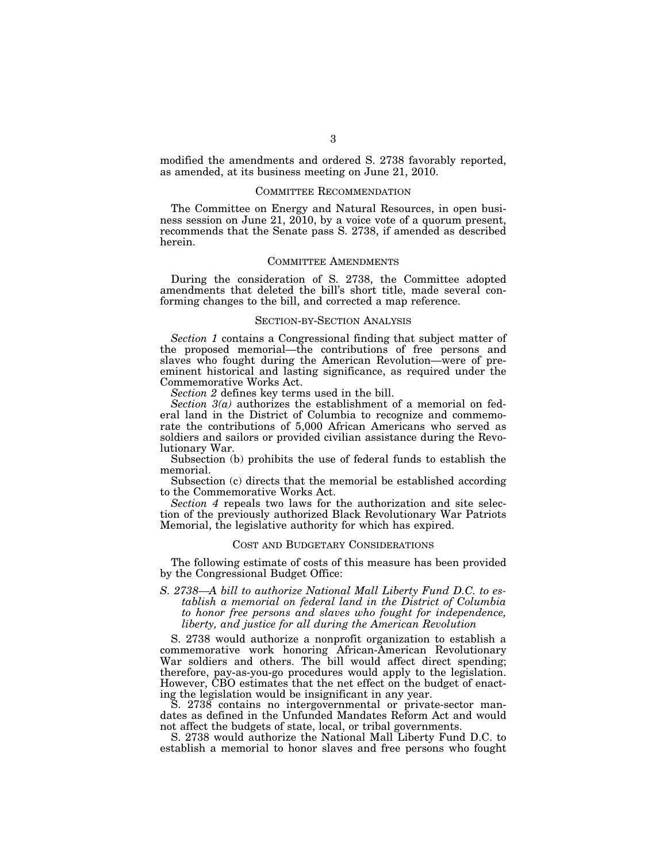modified the amendments and ordered S. 2738 favorably reported, as amended, at its business meeting on June 21, 2010.

#### COMMITTEE RECOMMENDATION

The Committee on Energy and Natural Resources, in open business session on June 21, 2010, by a voice vote of a quorum present, recommends that the Senate pass S. 2738, if amended as described herein.

#### COMMITTEE AMENDMENTS

During the consideration of S. 2738, the Committee adopted amendments that deleted the bill's short title, made several conforming changes to the bill, and corrected a map reference.

#### SECTION-BY-SECTION ANALYSIS

*Section 1* contains a Congressional finding that subject matter of the proposed memorial—the contributions of free persons and slaves who fought during the American Revolution—were of preeminent historical and lasting significance, as required under the Commemorative Works Act.

*Section 2* defines key terms used in the bill.

*Section 3(a)* authorizes the establishment of a memorial on federal land in the District of Columbia to recognize and commemorate the contributions of 5,000 African Americans who served as soldiers and sailors or provided civilian assistance during the Revolutionary War.

Subsection (b) prohibits the use of federal funds to establish the memorial.

Subsection (c) directs that the memorial be established according to the Commemorative Works Act.

*Section 4* repeals two laws for the authorization and site selection of the previously authorized Black Revolutionary War Patriots Memorial, the legislative authority for which has expired.

#### COST AND BUDGETARY CONSIDERATIONS

The following estimate of costs of this measure has been provided by the Congressional Budget Office:

*S. 2738—A bill to authorize National Mall Liberty Fund D.C. to establish a memorial on federal land in the District of Columbia to honor free persons and slaves who fought for independence, liberty, and justice for all during the American Revolution* 

S. 2738 would authorize a nonprofit organization to establish a commemorative work honoring African-American Revolutionary War soldiers and others. The bill would affect direct spending; therefore, pay-as-you-go procedures would apply to the legislation. However, CBO estimates that the net effect on the budget of enacting the legislation would be insignificant in any year.

S. 2738 contains no intergovernmental or private-sector mandates as defined in the Unfunded Mandates Reform Act and would not affect the budgets of state, local, or tribal governments.

S. 2738 would authorize the National Mall Liberty Fund D.C. to establish a memorial to honor slaves and free persons who fought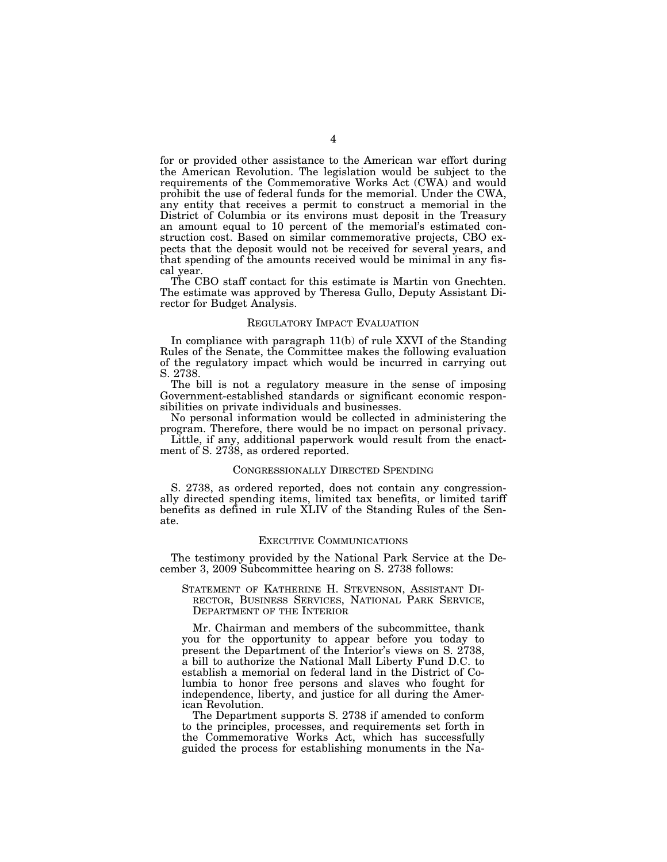for or provided other assistance to the American war effort during the American Revolution. The legislation would be subject to the requirements of the Commemorative Works Act (CWA) and would prohibit the use of federal funds for the memorial. Under the CWA, any entity that receives a permit to construct a memorial in the District of Columbia or its environs must deposit in the Treasury an amount equal to 10 percent of the memorial's estimated construction cost. Based on similar commemorative projects, CBO expects that the deposit would not be received for several years, and that spending of the amounts received would be minimal in any fiscal year.

The CBO staff contact for this estimate is Martin von Gnechten. The estimate was approved by Theresa Gullo, Deputy Assistant Director for Budget Analysis.

#### REGULATORY IMPACT EVALUATION

In compliance with paragraph 11(b) of rule XXVI of the Standing Rules of the Senate, the Committee makes the following evaluation of the regulatory impact which would be incurred in carrying out S. 2738.

The bill is not a regulatory measure in the sense of imposing Government-established standards or significant economic responsibilities on private individuals and businesses.

No personal information would be collected in administering the program. Therefore, there would be no impact on personal privacy.

Little, if any, additional paperwork would result from the enactment of S. 2738, as ordered reported.

#### CONGRESSIONALLY DIRECTED SPENDING

S. 2738, as ordered reported, does not contain any congressionally directed spending items, limited tax benefits, or limited tariff benefits as defined in rule XLIV of the Standing Rules of the Senate.

#### EXECUTIVE COMMUNICATIONS

The testimony provided by the National Park Service at the December 3, 2009 Subcommittee hearing on S. 2738 follows:

## STATEMENT OF KATHERINE H. STEVENSON, ASSISTANT DI-RECTOR, BUSINESS SERVICES, NATIONAL PARK SERVICE, DEPARTMENT OF THE INTERIOR

Mr. Chairman and members of the subcommittee, thank you for the opportunity to appear before you today to present the Department of the Interior's views on S. 2738, a bill to authorize the National Mall Liberty Fund D.C. to establish a memorial on federal land in the District of Columbia to honor free persons and slaves who fought for independence, liberty, and justice for all during the American Revolution.

The Department supports S. 2738 if amended to conform to the principles, processes, and requirements set forth in the Commemorative Works Act, which has successfully guided the process for establishing monuments in the Na-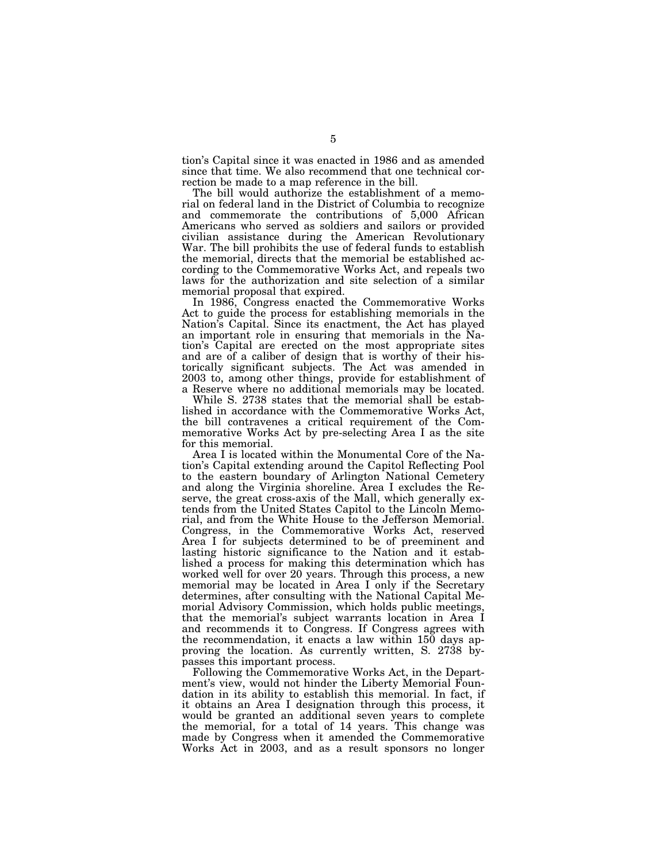tion's Capital since it was enacted in 1986 and as amended since that time. We also recommend that one technical correction be made to a map reference in the bill.

The bill would authorize the establishment of a memorial on federal land in the District of Columbia to recognize and commemorate the contributions of 5,000 African Americans who served as soldiers and sailors or provided civilian assistance during the American Revolutionary War. The bill prohibits the use of federal funds to establish the memorial, directs that the memorial be established according to the Commemorative Works Act, and repeals two laws for the authorization and site selection of a similar memorial proposal that expired.

In 1986, Congress enacted the Commemorative Works Act to guide the process for establishing memorials in the Nation's Capital. Since its enactment, the Act has played an important role in ensuring that memorials in the Nation's Capital are erected on the most appropriate sites and are of a caliber of design that is worthy of their historically significant subjects. The Act was amended in 2003 to, among other things, provide for establishment of a Reserve where no additional memorials may be located.

While S. 2738 states that the memorial shall be established in accordance with the Commemorative Works Act, the bill contravenes a critical requirement of the Commemorative Works Act by pre-selecting Area I as the site for this memorial.

Area I is located within the Monumental Core of the Nation's Capital extending around the Capitol Reflecting Pool to the eastern boundary of Arlington National Cemetery and along the Virginia shoreline. Area I excludes the Reserve, the great cross-axis of the Mall, which generally extends from the United States Capitol to the Lincoln Memorial, and from the White House to the Jefferson Memorial. Congress, in the Commemorative Works Act, reserved Area I for subjects determined to be of preeminent and lasting historic significance to the Nation and it established a process for making this determination which has worked well for over 20 years. Through this process, a new memorial may be located in Area I only if the Secretary determines, after consulting with the National Capital Memorial Advisory Commission, which holds public meetings, that the memorial's subject warrants location in Area I and recommends it to Congress. If Congress agrees with the recommendation, it enacts a law within 150 days approving the location. As currently written, S. 2738 bypasses this important process.

Following the Commemorative Works Act, in the Department's view, would not hinder the Liberty Memorial Foundation in its ability to establish this memorial. In fact, if it obtains an Area I designation through this process, it would be granted an additional seven years to complete the memorial, for a total of 14 years. This change was made by Congress when it amended the Commemorative Works Act in 2003, and as a result sponsors no longer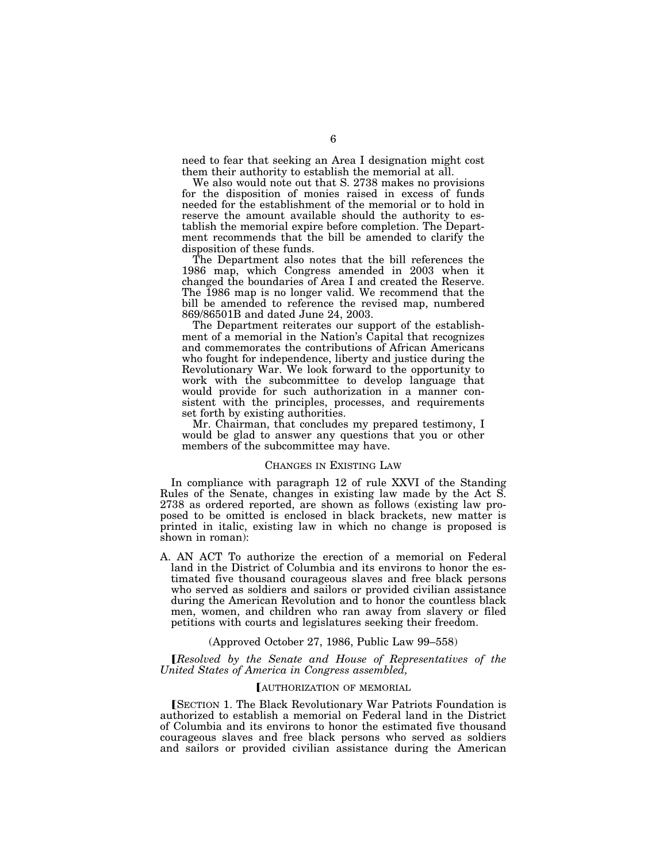need to fear that seeking an Area I designation might cost them their authority to establish the memorial at all.

We also would note out that S. 2738 makes no provisions for the disposition of monies raised in excess of funds needed for the establishment of the memorial or to hold in reserve the amount available should the authority to establish the memorial expire before completion. The Department recommends that the bill be amended to clarify the disposition of these funds.

The Department also notes that the bill references the 1986 map, which Congress amended in 2003 when it changed the boundaries of Area I and created the Reserve. The 1986 map is no longer valid. We recommend that the bill be amended to reference the revised map, numbered 869/86501B and dated June 24, 2003.

The Department reiterates our support of the establishment of a memorial in the Nation's Capital that recognizes and commemorates the contributions of African Americans who fought for independence, liberty and justice during the Revolutionary War. We look forward to the opportunity to work with the subcommittee to develop language that would provide for such authorization in a manner consistent with the principles, processes, and requirements set forth by existing authorities.

Mr. Chairman, that concludes my prepared testimony, I would be glad to answer any questions that you or other members of the subcommittee may have.

#### CHANGES IN EXISTING LAW

In compliance with paragraph 12 of rule XXVI of the Standing Rules of the Senate, changes in existing law made by the Act S. 2738 as ordered reported, are shown as follows (existing law proposed to be omitted is enclosed in black brackets, new matter is printed in italic, existing law in which no change is proposed is shown in roman):

A. AN ACT To authorize the erection of a memorial on Federal land in the District of Columbia and its environs to honor the estimated five thousand courageous slaves and free black persons who served as soldiers and sailors or provided civilian assistance during the American Revolution and to honor the countless black men, women, and children who ran away from slavery or filed petitions with courts and legislatures seeking their freedom.

#### (Approved October 27, 1986, Public Law 99–558)

ø*Resolved by the Senate and House of Representatives of the United States of America in Congress assembled,* 

#### **[AUTHORIZATION OF MEMORIAL**

**[SECTION 1. The Black Revolutionary War Patriots Foundation is** authorized to establish a memorial on Federal land in the District of Columbia and its environs to honor the estimated five thousand courageous slaves and free black persons who served as soldiers and sailors or provided civilian assistance during the American